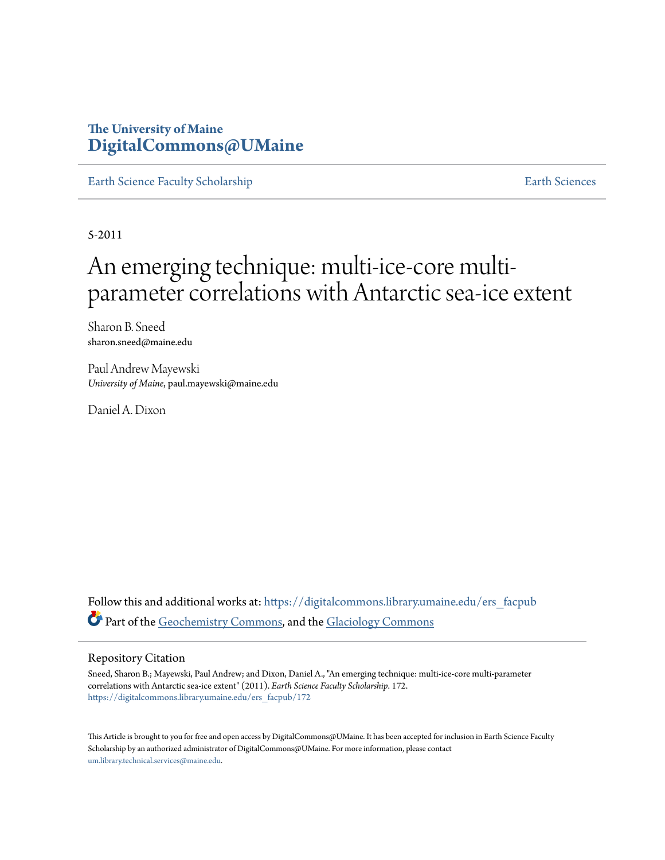## **The University of Maine [DigitalCommons@UMaine](https://digitalcommons.library.umaine.edu?utm_source=digitalcommons.library.umaine.edu%2Fers_facpub%2F172&utm_medium=PDF&utm_campaign=PDFCoverPages)**

[Earth Science Faculty Scholarship](https://digitalcommons.library.umaine.edu/ers_facpub?utm_source=digitalcommons.library.umaine.edu%2Fers_facpub%2F172&utm_medium=PDF&utm_campaign=PDFCoverPages) **[Earth Sciences](https://digitalcommons.library.umaine.edu/ers?utm_source=digitalcommons.library.umaine.edu%2Fers_facpub%2F172&utm_medium=PDF&utm_campaign=PDFCoverPages)** 

5-2011

# An emerging technique: multi-ice-core multiparameter correlations with Antarctic sea-ice extent

Sharon B. Sneed sharon.sneed@maine.edu

Paul Andrew Mayewski *University of Maine*, paul.mayewski@maine.edu

Daniel A. Dixon

Follow this and additional works at: [https://digitalcommons.library.umaine.edu/ers\\_facpub](https://digitalcommons.library.umaine.edu/ers_facpub?utm_source=digitalcommons.library.umaine.edu%2Fers_facpub%2F172&utm_medium=PDF&utm_campaign=PDFCoverPages) Part of the [Geochemistry Commons](http://network.bepress.com/hgg/discipline/157?utm_source=digitalcommons.library.umaine.edu%2Fers_facpub%2F172&utm_medium=PDF&utm_campaign=PDFCoverPages), and the [Glaciology Commons](http://network.bepress.com/hgg/discipline/159?utm_source=digitalcommons.library.umaine.edu%2Fers_facpub%2F172&utm_medium=PDF&utm_campaign=PDFCoverPages)

#### Repository Citation

Sneed, Sharon B.; Mayewski, Paul Andrew; and Dixon, Daniel A., "An emerging technique: multi-ice-core multi-parameter correlations with Antarctic sea-ice extent" (2011). *Earth Science Faculty Scholarship*. 172. [https://digitalcommons.library.umaine.edu/ers\\_facpub/172](https://digitalcommons.library.umaine.edu/ers_facpub/172?utm_source=digitalcommons.library.umaine.edu%2Fers_facpub%2F172&utm_medium=PDF&utm_campaign=PDFCoverPages)

This Article is brought to you for free and open access by DigitalCommons@UMaine. It has been accepted for inclusion in Earth Science Faculty Scholarship by an authorized administrator of DigitalCommons@UMaine. For more information, please contact [um.library.technical.services@maine.edu](mailto:um.library.technical.services@maine.edu).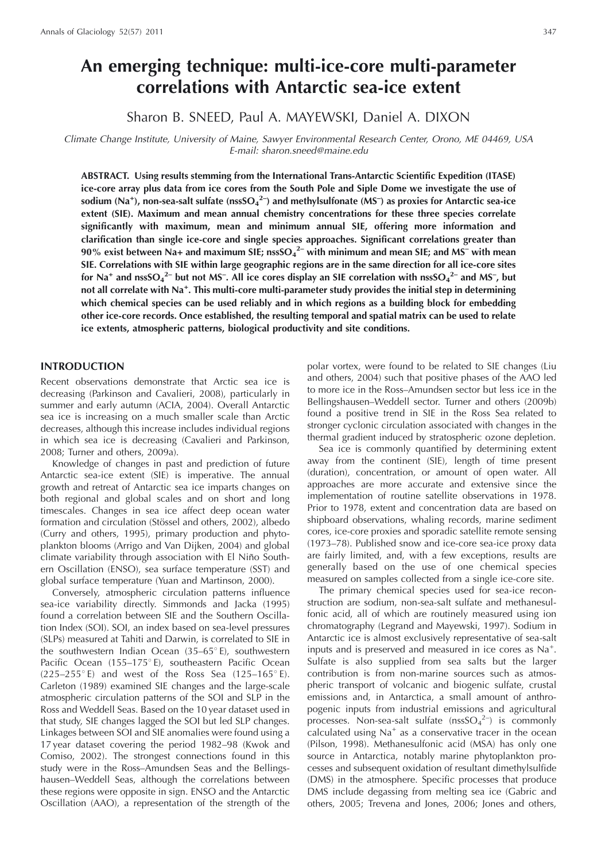# An emerging technique: multi-ice-core multi-parameter correlations with Antarctic sea-ice extent

Sharon B. SNEED, Paul A. MAYEWSKI, Daniel A. DIXON

Climate Change Institute, University of Maine, Sawyer Environmental Research Center, Orono, ME 04469, USA E-mail: sharon.sneed@maine.edu

ABSTRACT. Using results stemming from the International Trans-Antarctic Scientific Expedition (ITASE) ice-core array plus data from ice cores from the South Pole and Siple Dome we investigate the use of sodium (Na<sup>+</sup>), non-sea-salt sulfate (nssSO<sub>4</sub><sup>2-</sup>) and methylsulfonate (MS<sup>-</sup>) as proxies for Antarctic sea-ice extent (SIE). Maximum and mean annual chemistry concentrations for these three species correlate significantly with maximum, mean and minimum annual SIE, offering more information and clarification than single ice-core and single species approaches. Significant correlations greater than 90% exist between Na+ and maximum SIE;  $nssSO<sub>4</sub><sup>2-</sup>$  with minimum and mean SIE; and MS<sup>-</sup> with mean SIE. Correlations with SIE within large geographic regions are in the same direction for all ice-core sites for Na<sup>+</sup> and nssSO<sub>4</sub><sup>2-</sup> but not MS<sup>-</sup>. All ice cores display an SIE correlation with nssSO<sub>4</sub><sup>2-</sup> and MS<sup>-</sup>, but not all correlate with Na<sup>+</sup>. This multi-core multi-parameter study provides the initial step in determining which chemical species can be used reliably and in which regions as a building block for embedding other ice-core records. Once established, the resulting temporal and spatial matrix can be used to relate ice extents, atmospheric patterns, biological productivity and site conditions.

#### **INTRODUCTION**

Recent observations demonstrate that Arctic sea ice is decreasing (Parkinson and Cavalieri, 2008), particularly in summer and early autumn (ACIA, 2004). Overall Antarctic sea ice is increasing on a much smaller scale than Arctic decreases, although this increase includes individual regions in which sea ice is decreasing (Cavalieri and Parkinson, 2008; Turner and others, 2009a).

Knowledge of changes in past and prediction of future Antarctic sea-ice extent (SIE) is imperative. The annual growth and retreat of Antarctic sea ice imparts changes on both regional and global scales and on short and long timescales. Changes in sea ice affect deep ocean water formation and circulation (Stössel and others, 2002), albedo (Curry and others, 1995), primary production and phytoplankton blooms (Arrigo and Van Dijken, 2004) and global climate variability through association with El Niño Southern Oscillation (ENSO), sea surface temperature (SST) and global surface temperature (Yuan and Martinson, 2000).

Conversely, atmospheric circulation patterns influence sea-ice variability directly. Simmonds and Jacka (1995) found a correlation between SIE and the Southern Oscillation Index (SOI). SOI, an index based on sea-level pressures (SLPs) measured at Tahiti and Darwin, is correlated to SIE in the southwestern Indian Ocean (35-65°E), southwestern Pacific Ocean (155-175°E), southeastern Pacific Ocean  $(225-255)$ °E) and west of the Ross Sea  $(125-165)$ °E). Carleton (1989) examined SIE changes and the large-scale atmospheric circulation patterns of the SOI and SLP in the Ross and Weddell Seas. Based on the 10 year dataset used in that study, SIE changes lagged the SOI but led SLP changes. Linkages between SOI and SIE anomalies were found using a 17 year dataset covering the period 1982-98 (Kwok and Comiso, 2002). The strongest connections found in this study were in the Ross-Amundsen Seas and the Bellingshausen-Weddell Seas, although the correlations between these regions were opposite in sign. ENSO and the Antarctic Oscillation (AAO), a representation of the strength of the polar vortex, were found to be related to SIE changes (Liu and others, 2004) such that positive phases of the AAO led to more ice in the Ross-Amundsen sector but less ice in the Bellingshausen-Weddell sector. Turner and others (2009b) found a positive trend in SIE in the Ross Sea related to stronger cyclonic circulation associated with changes in the thermal gradient induced by stratospheric ozone depletion.

Sea ice is commonly quantified by determining extent away from the continent (SIE), length of time present (duration), concentration, or amount of open water. All approaches are more accurate and extensive since the implementation of routine satellite observations in 1978. Prior to 1978, extent and concentration data are based on shipboard observations, whaling records, marine sediment cores, ice-core proxies and sporadic satellite remote sensing (1973-78). Published snow and ice-core sea-ice proxy data are fairly limited, and, with a few exceptions, results are generally based on the use of one chemical species measured on samples collected from a single ice-core site.

The primary chemical species used for sea-ice reconstruction are sodium, non-sea-salt sulfate and methanesulfonic acid, all of which are routinely measured using ion chromatography (Legrand and Mayewski, 1997). Sodium in Antarctic ice is almost exclusively representative of sea-salt inputs and is preserved and measured in ice cores as  $Na<sup>+</sup>$ . Sulfate is also supplied from sea salts but the larger contribution is from non-marine sources such as atmospheric transport of volcanic and biogenic sulfate, crustal emissions and, in Antarctica, a small amount of anthropogenic inputs from industrial emissions and agricultural processes. Non-sea-salt sulfate  $(nssSO<sub>4</sub><sup>2–</sup>)$  is commonly calculated using  $Na<sup>+</sup>$  as a conservative tracer in the ocean (Pilson, 1998). Methanesulfonic acid (MSA) has only one source in Antarctica, notably marine phytoplankton processes and subsequent oxidation of resultant dimethylsulfide (DMS) in the atmosphere. Specific processes that produce DMS include degassing from melting sea ice (Gabric and others, 2005; Trevena and Jones, 2006; Jones and others,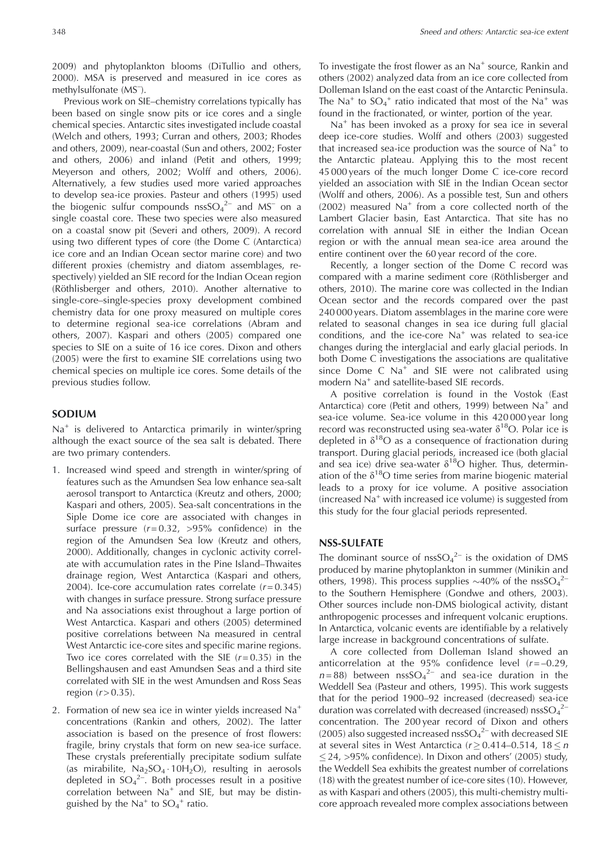Previous work on SIE-chemistry correlations typically has been based on single snow pits or ice cores and a single chemical species. Antarctic sites investigated include coastal (Welch and others, 1993; Curran and others, 2003; Rhodes and others, 2009), near-coastal (Sun and others, 2002; Foster and others, 2006) and inland (Petit and others, 1999; Meyerson and others, 2002; Wolff and others, 2006). Alternatively, a few studies used more varied approaches to develop sea-ice proxies. Pasteur and others (1995) used the biogenic sulfur compounds  $nssSO<sub>4</sub><sup>2-</sup>$  and MS<sup>-</sup> on a single coastal core. These two species were also measured on a coastal snow pit (Severi and others, 2009). A record using two different types of core (the Dome C (Antarctica) ice core and an Indian Ocean sector marine core) and two different proxies (chemistry and diatom assemblages, respectively) yielded an SIE record for the Indian Ocean region (Röthlisberger and others, 2010). Another alternative to single-core-single-species proxy development combined chemistry data for one proxy measured on multiple cores to determine regional sea-ice correlations (Abram and others, 2007). Kaspari and others (2005) compared one species to SIE on a suite of 16 ice cores. Dixon and others (2005) were the first to examine SIE correlations using two chemical species on multiple ice cores. Some details of the previous studies follow.

#### **SODIUM**

Na<sup>+</sup> is delivered to Antarctica primarily in winter/spring although the exact source of the sea salt is debated. There are two primary contenders.

- 1. Increased wind speed and strength in winter/spring of features such as the Amundsen Sea low enhance sea-salt aerosol transport to Antarctica (Kreutz and others, 2000; Kaspari and others, 2005). Sea-salt concentrations in the Siple Dome ice core are associated with changes in surface pressure  $(r=0.32, >95\%$  confidence) in the region of the Amundsen Sea low (Kreutz and others, 2000). Additionally, changes in cyclonic activity correlate with accumulation rates in the Pine Island-Thwaites drainage region, West Antarctica (Kaspari and others, 2004). Ice-core accumulation rates correlate  $(r=0.345)$ with changes in surface pressure. Strong surface pressure and Na associations exist throughout a large portion of West Antarctica. Kaspari and others (2005) determined positive correlations between Na measured in central West Antarctic ice-core sites and specific marine regions. Two ice cores correlated with the SIE  $(r=0.35)$  in the Bellingshausen and east Amundsen Seas and a third site correlated with SIE in the west Amundsen and Ross Seas region  $(r>0.35)$ .
- 2. Formation of new sea ice in winter yields increased  $Na<sup>+</sup>$ concentrations (Rankin and others, 2002). The latter association is based on the presence of frost flowers: fragile, briny crystals that form on new sea-ice surface. These crystals preferentially precipitate sodium sulfate (as mirabilite,  $Na<sub>2</sub>SO<sub>4</sub> \cdot 10H<sub>2</sub>O$ ), resulting in aerosols depleted in  $SO_4^2$ . Both processes result in a positive<br>correlation between  $Na^+$  and SIE, but may be distinguished by the Na<sup>+</sup> to  $SO_4$ <sup>+</sup> ratio.

To investigate the frost flower as an Na<sup>+</sup> source, Rankin and others (2002) analyzed data from an ice core collected from Dolleman Island on the east coast of the Antarctic Peninsula. The Na<sup>+</sup> to  $SO_4$ <sup>+</sup> ratio indicated that most of the Na<sup>+</sup> was found in the fractionated, or winter, portion of the year.

Na<sup>+</sup> has been invoked as a proxy for sea ice in several deep ice-core studies. Wolff and others (2003) suggested that increased sea-ice production was the source of  $Na<sup>+</sup>$  to the Antarctic plateau. Applying this to the most recent 45 000 years of the much longer Dome C ice-core record vielded an association with SIE in the Indian Ocean sector (Wolff and others, 2006). As a possible test, Sun and others (2002) measured Na<sup>+</sup> from a core collected north of the Lambert Glacier basin, East Antarctica. That site has no correlation with annual SIE in either the Indian Ocean region or with the annual mean sea-ice area around the entire continent over the 60 year record of the core.

Recently, a longer section of the Dome C record was compared with a marine sediment core (Röthlisberger and others, 2010). The marine core was collected in the Indian Ocean sector and the records compared over the past 240000 years. Diatom assemblages in the marine core were related to seasonal changes in sea ice during full glacial conditions, and the ice-core Na<sup>+</sup> was related to sea-ice changes during the interglacial and early glacial periods. In both Dome C investigations the associations are qualitative since Dome C Na<sup>+</sup> and SIE were not calibrated using modern Na<sup>+</sup> and satellite-based SIE records.

A positive correlation is found in the Vostok (East Antarctica) core (Petit and others, 1999) between Na<sup>+</sup> and sea-ice volume. Sea-ice volume in this 420000 year long record was reconstructed using sea-water  $\delta^{18}O$ . Polar ice is depleted in  $\delta^{18}O$  as a consequence of fractionation during transport. During glacial periods, increased ice (both glacial and sea ice) drive sea-water  $\delta^{18}O$  higher. Thus, determination of the  $\delta^{18}O$  time series from marine biogenic material leads to a proxy for ice volume. A positive association (increased Na<sup>+</sup> with increased ice volume) is suggested from this study for the four glacial periods represented.

#### **NSS-SULFATE**

The dominant source of nss $SO_4^{2-}$  is the oxidation of DMS produced by marine phytoplankton in summer (Minikin and others, 1998). This process supplies  $\sim$ 40% of the nssSO<sub>4</sub><sup>2-</sup> to the Southern Hemisphere (Gondwe and others, 2003). Other sources include non-DMS biological activity, distant anthropogenic processes and infrequent volcanic eruptions. In Antarctica, volcanic events are identifiable by a relatively large increase in background concentrations of sulfate.

A core collected from Dolleman Island showed an anticorrelation at the 95% confidence level  $(r=-0.29)$ ,  $n=88$ ) between nssSO<sub>4</sub><sup>2-</sup> and sea-ice duration in the Weddell Sea (Pasteur and others, 1995). This work suggests that for the period 1900–92 increased (decreased) sea-ice duration was correlated with decreased (increased) nss $SO_4^{2-}$ concentration. The 200 year record of Dixon and others (2005) also suggested increased nss $SO_4^{2-}$  with decreased SIE at several sites in West Antarctica ( $r \ge 0.414 - 0.514$ ,  $18 \le n$  $\leq$  24, >95% confidence). In Dixon and others' (2005) study, the Weddell Sea exhibits the greatest number of correlations (18) with the greatest number of ice-core sites (10). However, as with Kaspari and others (2005), this multi-chemistry multicore approach revealed more complex associations between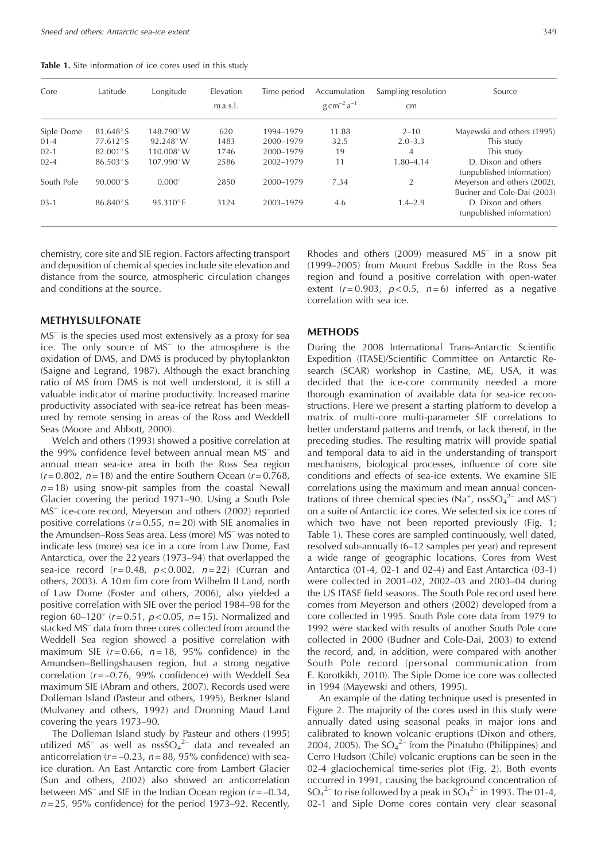Table 1. Site information of ice cores used in this study

| Latitude            | Longitude           | Elevation<br>ma.s.l. | Time period | Accumulation<br>$g cm^{-2} a^{-1}$ | Sampling resolution<br>cm | Source                                                    |
|---------------------|---------------------|----------------------|-------------|------------------------------------|---------------------------|-----------------------------------------------------------|
| $81.648^{\circ}$ S  | $148.790^{\circ}$ W | 620                  | 1994-1979   | 11.88                              | $2 - 10$                  | Mayewski and others (1995)                                |
| $77.612^{\circ}S$   | $92.248^{\circ}$ W  | 1483                 | 2000-1979   | 32.5                               | $2.0 - 3.3$               | This study                                                |
| $82.001^{\circ}$ S  | $110.008^{\circ}$ W | 1746                 | 2000-1979   | 19                                 | 4                         | This study                                                |
| $86.503^{\circ}S$   | $107.990^{\circ}$ W | 2586                 | 2002-1979   | 11                                 | $1.80 - 4.14$             | D. Dixon and others<br>(unpublished information)          |
| 90.000 $^{\circ}$ S | $0.000^\circ$       | 2850                 | 2000-1979   | 7.34                               | 2                         | Meyerson and others (2002),<br>Budner and Cole-Dai (2003) |
| $86.840^{\circ}$ S  | 95.310 $^{\circ}$ E | 3124                 | 2003-1979   | 4.6                                | $1.4 - 2.9$               | D. Dixon and others<br>(unpublished information)          |
|                     |                     |                      |             |                                    |                           |                                                           |

chemistry, core site and SIE region. Factors affecting transport and deposition of chemical species include site elevation and distance from the source, atmospheric circulation changes and conditions at the source.

#### **METHYLSULFONATE**

 $MS<sup>-</sup>$  is the species used most extensively as a proxy for sea ice. The only source of MS<sup>-</sup> to the atmosphere is the oxidation of DMS, and DMS is produced by phytoplankton (Saigne and Legrand, 1987). Although the exact branching ratio of MS from DMS is not well understood, it is still a valuable indicator of marine productivity. Increased marine productivity associated with sea-ice retreat has been measured by remote sensing in areas of the Ross and Weddell Seas (Moore and Abbott, 2000).

Welch and others (1993) showed a positive correlation at the 99% confidence level between annual mean MS<sup>-</sup> and annual mean sea-ice area in both the Ross Sea region  $(r=0.802, n=18)$  and the entire Southern Ocean  $(r=0.768,$  $n=18$ ) using snow-pit samples from the coastal Newall Glacier covering the period 1971–90. Using a South Pole MS<sup>-</sup> ice-core record, Meyerson and others (2002) reported positive correlations ( $r = 0.55$ ,  $n = 20$ ) with SIE anomalies in the Amundsen–Ross Seas area. Less (more) MS<sup>-</sup> was noted to indicate less (more) sea ice in a core from Law Dome, East Antarctica, over the 22 years (1973–94) that overlapped the sea-ice record  $(r=0.48, p<0.002, n=22)$  (Curran and others, 2003). A 10 m firn core from Wilhelm II Land, north of Law Dome (Foster and others, 2006), also yielded a positive correlation with SIE over the period 1984–98 for the region 60-120° ( $r = 0.51$ ,  $p < 0.05$ ,  $n = 15$ ). Normalized and stacked MS<sup>-</sup> data from three cores collected from around the Weddell Sea region showed a positive correlation with maximum SIE  $(r=0.66, n=18, 95\%$  confidence) in the Amundsen-Bellingshausen region, but a strong negative correlation ( $r = -0.76$ , 99% confidence) with Weddell Sea maximum SIE (Abram and others, 2007). Records used were Dolleman Island (Pasteur and others, 1995), Berkner Island (Mulvaney and others, 1992) and Dronning Maud Land covering the years 1973-90.

The Dolleman Island study by Pasteur and others (1995) utilized MS<sup>-</sup> as well as  $nssSO<sub>4</sub><sup>2-</sup>$  data and revealed an anticorrelation ( $r = -0.23$ ,  $n = 88$ , 95% confidence) with seaice duration. An East Antarctic core from Lambert Glacier (Sun and others, 2002) also showed an anticorrelation between  $MS^-$  and SIE in the Indian Ocean region ( $r = -0.34$ ,  $n=25$ , 95% confidence) for the period 1973–92. Recently,

Rhodes and others (2009) measured MS<sup>-</sup> in a snow pit (1999–2005) from Mount Erebus Saddle in the Ross Sea region and found a positive correlation with open-water extent  $(r=0.903, p<0.5, n=6)$  inferred as a negative correlation with sea ice.

#### **METHODS**

During the 2008 International Trans-Antarctic Scientific Expedition (ITASE)/Scientific Committee on Antarctic Research (SCAR) workshop in Castine, ME, USA, it was decided that the ice-core community needed a more thorough examination of available data for sea-ice reconstructions. Here we present a starting platform to develop a matrix of multi-core multi-parameter SIE correlations to better understand patterns and trends, or lack thereof, in the preceding studies. The resulting matrix will provide spatial and temporal data to aid in the understanding of transport mechanisms, biological processes, influence of core site conditions and effects of sea-ice extents. We examine SIE correlations using the maximum and mean annual concentrations of three chemical species ( $Na^{+}$ , nss $SO_{4}^{2-}$  and MS<sup>-</sup>) on a suite of Antarctic ice cores. We selected six ice cores of which two have not been reported previously (Fig. 1; Table 1). These cores are sampled continuously, well dated, resolved sub-annually (6-12 samples per year) and represent a wide range of geographic locations. Cores from West Antarctica (01-4, 02-1 and 02-4) and East Antarctica (03-1) were collected in 2001-02, 2002-03 and 2003-04 during the US ITASE field seasons. The South Pole record used here comes from Meyerson and others (2002) developed from a core collected in 1995. South Pole core data from 1979 to 1992 were stacked with results of another South Pole core collected in 2000 (Budner and Cole-Dai, 2003) to extend the record, and, in addition, were compared with another South Pole record (personal communication from E. Korotkikh, 2010). The Siple Dome ice core was collected in 1994 (Mayewski and others, 1995).

An example of the dating technique used is presented in Figure 2. The majority of the cores used in this study were annually dated using seasonal peaks in major ions and calibrated to known volcanic eruptions (Dixon and others, 2004, 2005). The  $SO_4^2$  from the Pinatubo (Philippines) and Cerro Hudson (Chile) volcanic eruptions can be seen in the 02-4 glaciochemical time-series plot (Fig. 2). Both events occurred in 1991, causing the background concentration of  $SO_4^2$  to rise followed by a peak in  $SO_4^2$  in 1993. The 01-4, 02-1 and Siple Dome cores contain very clear seasonal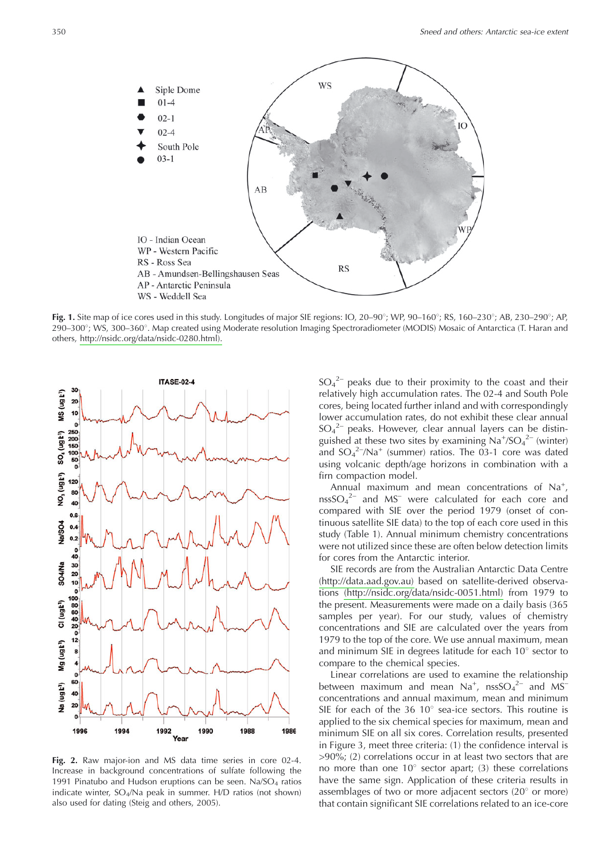

Fig. 1. Site map of ice cores used in this study. Longitudes of major SIE regions: 1O, 20–90°; WP, 90–160°; RS, 160–230°; AB, 230–290°; AP, 290-300°; WS, 300-360°. Map created using Moderate resolution Imaging Spectroradiometer (MODIS) Mosaic of Antarctica (T. Haran and others, http://nsidc.org/data/nsidc-0280.html).



Fig. 2. Raw major-ion and MS data time series in core 02-4. Increase in background concentrations of sulfate following the 1991 Pinatubo and Hudson eruptions can be seen. Na/SO<sub>4</sub> ratios indicate winter, SO<sub>4</sub>/Na peak in summer. H/D ratios (not shown) also used for dating (Steig and others, 2005).

 $SO_4^2$  peaks due to their proximity to the coast and their relatively high accumulation rates. The 02-4 and South Pole cores, being located further inland and with correspondingly lower accumulation rates, do not exhibit these clear annual  $SO_4^2$  peaks. However, clear annual layers can be distinguished at these two sites by examining  $Na^{+}/SO_{4}^{2-}$  (winter) and  $SO_4^2$ -/Na<sup>+</sup> (summer) ratios. The 03-1 core was dated using volcanic depth/age horizons in combination with a firn compaction model.

Annual maximum and mean concentrations of Na<sup>+</sup>,  $nssSO<sub>4</sub><sup>2-</sup>$  and MS<sup>-</sup> were calculated for each core and compared with SIE over the period 1979 (onset of continuous satellite SIE data) to the top of each core used in this study (Table 1). Annual minimum chemistry concentrations were not utilized since these are often below detection limits for cores from the Antarctic interior.

SIE records are from the Australian Antarctic Data Centre (http://data.aad.gov.au) based on satellite-derived observations (http://nsidc.org/data/nsidc-0051.html) from 1979 to the present. Measurements were made on a daily basis (365 samples per year). For our study, values of chemistry concentrations and SIE are calculated over the years from 1979 to the top of the core. We use annual maximum, mean and minimum SIE in degrees latitude for each  $10^{\circ}$  sector to compare to the chemical species.

Linear correlations are used to examine the relationship between maximum and mean  $Na^{+}$ , nss $SO_{4}^{2-}$  and  $MS^{-}$ concentrations and annual maximum, mean and minimum SIE for each of the  $36 \ 10^{\circ}$  sea-ice sectors. This routine is applied to the six chemical species for maximum, mean and minimum SIE on all six cores. Correlation results, presented in Figure 3, meet three criteria: (1) the confidence interval is >90%; (2) correlations occur in at least two sectors that are no more than one  $10^{\circ}$  sector apart; (3) these correlations have the same sign. Application of these criteria results in assemblages of two or more adjacent sectors  $(20^{\circ}$  or more) that contain significant SIE correlations related to an ice-core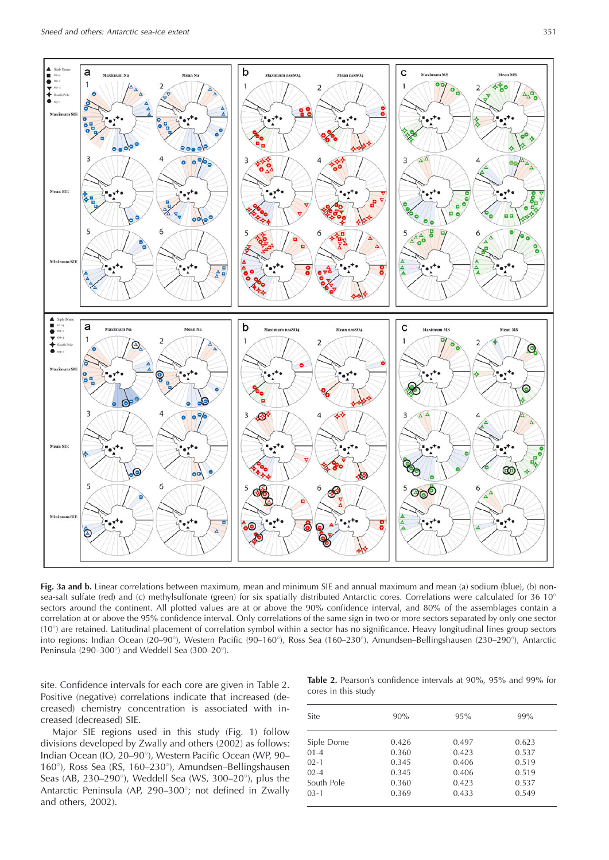

Fig. 3a and b. Linear correlations between maximum, mean and minimum SIE and annual maximum and mean (a) sodium (blue), (b) nonsea-salt sulfate (red) and (c) methylsulfonate (green) for six spatially distributed Antarctic cores. Correlations were calculated for 36 10° sectors around the continent. All plotted values are at or above the 90% confidence interval, and 80% of the assemblages contain a correlation at or above the 95% confidence interval. Only correlations of the same sign in two or more sectors separated by only one sector (10°) are retained. Latitudinal placement of correlation symbol within a sector has no significance. Heavy longitudinal lines group sectors into regions: Indian Ocean (20-90°), Western Pacific (90-160°), Ross Sea (160-230°), Amundsen-Bellingshausen (230-290°), Antarctic Peninsula (290-300°) and Weddell Sea (300-20°).

site. Confidence intervals for each core are given in Table 2. Positive (negative) correlations indicate that increased (decreased) chemistry concentration is associated with increased (decreased) SIE.

Major SIE regions used in this study (Fig. 1) follow divisions developed by Zwally and others (2002) as follows: Indian Ocean (IO, 20-90°), Western Pacific Ocean (WP, 90-160°), Ross Sea (RS, 160–230°), Amundsen–Bellingshausen Seas (AB, 230-290°), Weddell Sea (WS, 300-20°), plus the Antarctic Peninsula (AP, 290-300°; not defined in Zwally and others, 2002).

Table 2. Pearson's confidence intervals at 90%, 95% and 99% for cores in this study

| Site       | 90%   | 95%   | 99%   |
|------------|-------|-------|-------|
| Siple Dome | 0.426 | 0.497 | 0.623 |
| $01 - 4$   | 0.360 | 0.423 | 0.537 |
| $02 - 1$   | 0.345 | 0.406 | 0.519 |
| $02 - 4$   | 0.345 | 0.406 | 0.519 |
| South Pole | 0.360 | 0.423 | 0.537 |
| $03-1$     | 0.369 | 0.433 | 0.549 |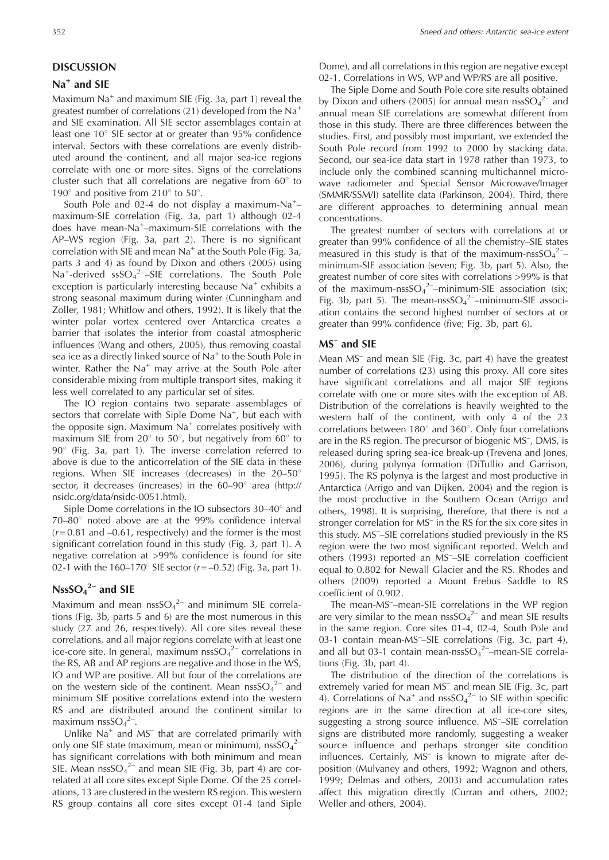#### **DISCUSSION**

#### $Na<sup>+</sup>$  and SIE

Maximum Na<sup>+</sup> and maximum SIE (Fig. 3a, part 1) reveal the greatest number of correlations (21) developed from the Na<sup>+</sup> and SIE examination. All SIE sector assemblages contain at least one 10° SIE sector at or greater than 95% confidence interval. Sectors with these correlations are evenly distributed around the continent, and all major sea-ice regions correlate with one or more sites. Signs of the correlations cluster such that all correlations are negative from 60° to 190 $^{\circ}$  and positive from 210 $^{\circ}$  to 50 $^{\circ}$ .

South Pole and 02-4 do not display a maximum-Na<sup>+</sup>maximum-SIE correlation (Fig. 3a, part 1) although 02-4 does have mean-Na<sup>+</sup>-maximum-SIE correlations with the AP-WS region (Fig. 3a, part 2). There is no significant correlation with SIE and mean Na<sup>+</sup> at the South Pole (Fig. 3a, parts 3 and 4) as found by Dixon and others (2005) using  $Na^+$ -derived  $ssSO_4^2$ -SIE correlations. The South Pole exception is particularly interesting because Na<sup>+</sup> exhibits a strong seasonal maximum during winter (Cunningham and Zoller, 1981; Whitlow and others, 1992). It is likely that the winter polar vortex centered over Antarctica creates a barrier that isolates the interior from coastal atmospheric influences (Wang and others, 2005), thus removing coastal sea ice as a directly linked source of Na<sup>+</sup> to the South Pole in winter. Rather the Na<sup>+</sup> may arrive at the South Pole after considerable mixing from multiple transport sites, making it less well correlated to any particular set of sites.

The IO region contains two separate assemblages of sectors that correlate with Siple Dome Na<sup>+</sup>, but each with the opposite sign. Maximum  $Na<sup>+</sup>$  correlates positively with maximum SIE from  $20^{\circ}$  to  $50^{\circ}$ , but negatively from  $60^{\circ}$  to 90° (Fig. 3a, part 1). The inverse correlation referred to above is due to the anticorrelation of the SIE data in these regions. When SIE increases (decreases) in the 20–50° sector, it decreases (increases) in the 60-90° area (http:// nsidc.org/data/nsidc-0051.html).

Siple Dome correlations in the IO subsectors 30–40° and 70–80° noted above are at the 99% confidence interval  $(r=0.81$  and  $-0.61$ , respectively) and the former is the most significant correlation found in this study (Fig. 3, part 1). A negative correlation at >99% confidence is found for site 02-1 with the 160-170° SIE sector  $(r = -0.52)$  (Fig. 3a, part 1).

### $NssSO<sub>4</sub><sup>2-</sup>$  and SIE

Maximum and mean  $nssSO<sub>4</sub><sup>2-</sup>$  and minimum SIE correlations (Fig. 3b, parts 5 and 6) are the most numerous in this study (27 and 26, respectively). All core sites reveal these correlations, and all major regions correlate with at least one ice-core site. In general, maximum  $nssSO<sub>4</sub><sup>2-</sup>$  correlations in the RS, AB and AP regions are negative and those in the WS, IO and WP are positive. All but four of the correlations are on the western side of the continent. Mean  $nssSO_4^{2-}$  and minimum SIE positive correlations extend into the western RS and are distributed around the continent similar to maximum nss $SO_4^2$ .

Unlike Na<sup>+</sup> and MS<sup>-</sup> that are correlated primarily with only one SIE state (maximum, mean or minimum),  $nssO<sub>4</sub><sup>2–</sup>$ has significant correlations with both minimum and mean SIE. Mean  $nssSO_4^{2-}$  and mean SIE (Fig. 3b, part 4) are correlated at all core sites except Siple Dome. Of the 25 correlations, 13 are clustered in the western RS region. This western RS group contains all core sites except 01-4 (and Siple

Dome), and all correlations in this region are negative except 02-1. Correlations in WS, WP and WP/RS are all positive.

The Siple Dome and South Pole core site results obtained by Dixon and others (2005) for annual mean  $nssO<sub>4</sub><sup>2–</sup>$  and annual mean SIE correlations are somewhat different from those in this study. There are three differences between the studies. First, and possibly most important, we extended the South Pole record from 1992 to 2000 by stacking data. Second, our sea-ice data start in 1978 rather than 1973, to include only the combined scanning multichannel microwave radiometer and Special Sensor Microwave/Imager (SMMR/SSM/I) satellite data (Parkinson, 2004). Third, there are different approaches to determining annual mean concentrations.

The greatest number of sectors with correlations at or greater than 99% confidence of all the chemistry-SIE states measured in this study is that of the maximum-nss $SO_4^2$ – minimum-SIE association (seven; Fig. 3b, part 5). Also, the greatest number of core sites with correlations >99% is that of the maximum-nss $SO_4^2$ -minimum-SIE association (six; Fig. 3b, part 5). The mean-nss $SO_4^{2-}$ -minimum-SIE association contains the second highest number of sectors at or greater than 99% confidence (five; Fig. 3b, part 6).

#### MS<sup>-</sup> and SIE

Mean MS<sup>-</sup> and mean SIE (Fig. 3c, part 4) have the greatest number of correlations (23) using this proxy. All core sites have significant correlations and all major SIE regions correlate with one or more sites with the exception of AB. Distribution of the correlations is heavily weighted to the western half of the continent, with only 4 of the 23 correlations between  $180^\circ$  and  $360^\circ$ . Only four correlations are in the RS region. The precursor of biogenic MS<sup>-</sup>, DMS, is released during spring sea-ice break-up (Trevena and Jones, 2006), during polynya formation (DiTullio and Garrison, 1995). The RS polynya is the largest and most productive in Antarctica (Arrigo and van Dijken, 2004) and the region is the most productive in the Southern Ocean (Arrigo and others, 1998). It is surprising, therefore, that there is not a stronger correlation for MS<sup>-</sup> in the RS for the six core sites in this study. MS<sup>-</sup>-SIE correlations studied previously in the RS region were the two most significant reported. Welch and others (1993) reported an MS<sup>-</sup>-SIE correlation coefficient equal to 0.802 for Newall Glacier and the RS. Rhodes and others (2009) reported a Mount Erebus Saddle to RS coefficient of 0.902.

The mean-MS<sup>-</sup>-mean-SIE correlations in the WP region are very similar to the mean  $nssSO_4^{2-}$  and mean SIE results in the same region. Core sites 01-4, 02-4, South Pole and 03-1 contain mean-MS<sup>--</sup>SIE correlations (Fig. 3c, part 4), and all but 03-1 contain mean-nss $SO_4^2$  -mean-SIE correlations (Fig.  $3b$ , part 4).

The distribution of the direction of the correlations is extremely varied for mean MS<sup>-</sup> and mean SIE (Fig. 3c, part 4). Correlations of Na<sup>+</sup> and nssSO<sub>4</sub><sup>2-</sup> to SIE within specific<br>regions are in the same direction at all ice-core sites, suggesting a strong source influence. MS<sup>-</sup>-SIE correlation signs are distributed more randomly, suggesting a weaker source influence and perhaps stronger site condition influences. Certainly, MS<sup>-</sup> is known to migrate after deposition (Mulvaney and others, 1992; Wagnon and others, 1999; Delmas and others, 2003) and accumulation rates affect this migration directly (Curran and others, 2002; Weller and others, 2004).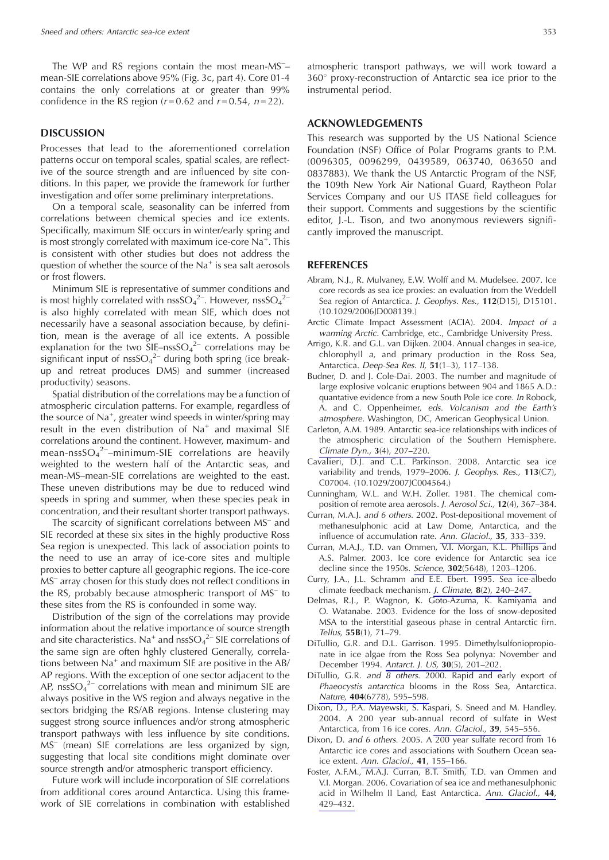The WP and RS regions contain the most mean-MS<sup>-</sup>mean-SIE correlations above 95% (Fig. 3c, part 4). Core 01-4 contains the only correlations at or greater than 99% confidence in the RS region  $(r=0.62$  and  $r=0.54$ ,  $n=22$ ).

#### **DISCUSSION**

Processes that lead to the aforementioned correlation patterns occur on temporal scales, spatial scales, are reflective of the source strength and are influenced by site conditions. In this paper, we provide the framework for further investigation and offer some preliminary interpretations.

On a temporal scale, seasonality can be inferred from correlations between chemical species and ice extents. Specifically, maximum SIE occurs in winter/early spring and is most strongly correlated with maximum ice-core Na<sup>+</sup>. This is consistent with other studies but does not address the question of whether the source of the Na<sup>+</sup> is sea salt aerosols or frost flowers.

Minimum SIE is representative of summer conditions and is most highly correlated with nssSO<sub>4</sub><sup>2-</sup>. However, nssSO<sub>4</sub><sup>2-</sup> is also highly correlated with mean SIE, which does not necessarily have a seasonal association because, by definition, mean is the average of all ice extents. A possible explanation for the two  $\text{SIE-}nss\text{SO}_4{}^{2-}$  correlations may be significant input of  $nssSO_4^{2-}$  during both spring (ice breakup and retreat produces DMS) and summer (increased productivity) seasons.

Spatial distribution of the correlations may be a function of atmospheric circulation patterns. For example, regardless of the source of Na<sup>+</sup>, greater wind speeds in winter/spring may result in the even distribution of Na<sup>+</sup> and maximal SIE correlations around the continent. However, maximum- and mean-nss $SO_4^2$ <sup>-</sup>-minimum-SIE correlations are heavily weighted to the western half of the Antarctic seas, and mean-MS-mean-SIE correlations are weighted to the east. These uneven distributions may be due to reduced wind speeds in spring and summer, when these species peak in concentration, and their resultant shorter transport pathways.

The scarcity of significant correlations between MS<sup>-</sup> and SIE recorded at these six sites in the highly productive Ross Sea region is unexpected. This lack of association points to the need to use an array of ice-core sites and multiple proxies to better capture all geographic regions. The ice-core MS<sup>-</sup> array chosen for this study does not reflect conditions in the RS, probably because atmospheric transport of MS<sup>-</sup> to these sites from the RS is confounded in some way.

Distribution of the sign of the correlations may provide information about the relative importance of source strength and site characteristics. Na<sup>+</sup> and  $nssSO<sub>4</sub><sup>2-</sup>$  SIE correlations of the same sign are often hghly clustered Generally, correlations between Na<sup>+</sup> and maximum SIE are positive in the AB/ AP regions. With the exception of one sector adjacent to the AP,  $nssSO_4^2$  correlations with mean and minimum SIE are always positive in the WS region and always negative in the sectors bridging the RS/AB regions. Intense clustering may suggest strong source influences and/or strong atmospheric transport pathways with less influence by site conditions. MS<sup>-</sup> (mean) SIE correlations are less organized by sign, suggesting that local site conditions might dominate over source strength and/or atmospheric transport efficiency.

Future work will include incorporation of SIE correlations from additional cores around Antarctica. Using this framework of SIE correlations in combination with established

#### **ACKNOWLEDGEMENTS**

This research was supported by the US National Science Foundation (NSF) Office of Polar Programs grants to P.M. (0096305, 0096299, 0439589, 063740, 063650 and 0837883). We thank the US Antarctic Program of the NSF, the 109th New York Air National Guard, Raytheon Polar Services Company and our US ITASE field colleagues for their support. Comments and suggestions by the scientific editor, J.-L. Tison, and two anonymous reviewers significantly improved the manuscript.

#### **REFERENCES**

- Abram, N.J., R. Mulvaney, E.W. Wolff and M. Mudelsee. 2007. Ice core records as sea ice proxies: an evaluation from the Weddell Sea region of Antarctica. J. Geophys. Res., 112(D15), D15101.  $(10.1029/2006$  [D008139.)
- Arctic Climate Impact Assessment (ACIA). 2004. Impact of a warming Arctic. Cambridge, etc., Cambridge University Press.
- Arrigo, K.R. and G.L. van Dijken. 2004. Annual changes in sea-ice, chlorophyll a, and primary production in the Ross Sea, Antarctica. Deep-Sea Res. II, 51(1-3), 117-138.
- Budner, D. and J. Cole-Dai. 2003. The number and magnitude of large explosive volcanic eruptions between 904 and 1865 A.D.: quantative evidence from a new South Pole ice core. In Robock, A. and C. Oppenheimer, eds. Volcanism and the Earth's atmosphere. Washington, DC, American Geophysical Union.
- Carleton, A.M. 1989. Antarctic sea-ice relationships with indices of the atmospheric circulation of the Southern Hemisphere. Climate Dyn., 3(4), 207-220.
- Cavalieri, D.J. and C.L. Parkinson. 2008. Antarctic sea ice variability and trends, 1979-2006. J. Geophys. Res., 113(C7), C07004. (10.1029/2007JC004564.)
- Cunningham, W.L. and W.H. Zoller. 1981. The chemical composition of remote area aerosols. J. Aerosol Sci., 12(4), 367-384.
- Curran, M.A.J. and 6 others. 2002. Post-depositional movement of methanesulphonic acid at Law Dome, Antarctica, and the influence of accumulation rate. Ann. Glaciol., 35, 333-339.
- Curran, M.A.J., T.D. van Ommen, V.I. Morgan, K.L. Phillips and A.S. Palmer. 2003. Ice core evidence for Antarctic sea ice decline since the 1950s. Science, 302(5648), 1203-1206.
- Curry, J.A., J.L. Schramm and E.E. Ebert. 1995. Sea ice-albedo climate feedback mechanism. J. Climate, 8(2), 240-247.
- Delmas, R.J., P. Wagnon, K. Goto-Azuma, K. Kamiyama and O. Watanabe. 2003. Evidence for the loss of snow-deposited MSA to the interstitial gaseous phase in central Antarctic firn. Tellus, 55B(1), 71-79.
- DiTullio, G.R. and D.L. Garrison. 1995. Dimethylsulfoniopropionate in ice algae from the Ross Sea polynya: November and December 1994. Antarct. J. US, 30(5), 201-202.
- DiTullio, G.R. and 8 others. 2000. Rapid and early export of Phaeocystis antarctica blooms in the Ross Sea, Antarctica. Nature, 404(6778), 595-598.
- Dixon, D., P.A. Mayewski, S. Kaspari, S. Sneed and M. Handley. 2004. A 200 year sub-annual record of sulfate in West Antarctica, from 16 ice cores. Ann. Glaciol., 39, 545-556.
- Dixon, D. and 6 others. 2005. A 200 year sulfate record from 16 Antarctic ice cores and associations with Southern Ocean seaice extent. Ann. Glaciol., 41, 155-166.
- Foster, A.F.M., M.A.J. Curran, B.T. Smith, T.D. van Ommen and V.I. Morgan. 2006. Covariation of sea ice and methanesulphonic acid in Wilhelm II Land, East Antarctica. Ann. Glaciol., 44, 429-432.